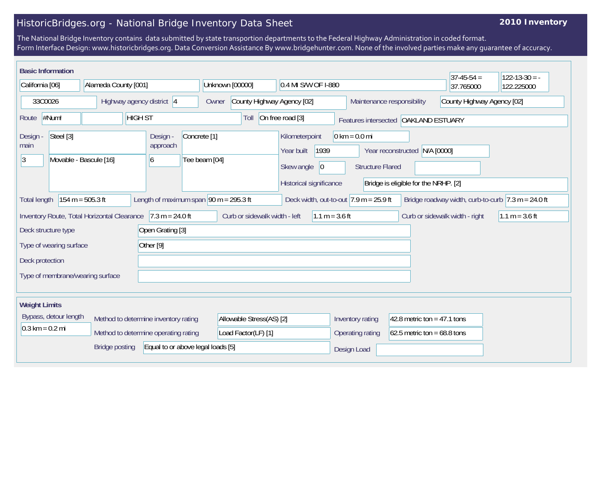## HistoricBridges.org - National Bridge Inventory Data Sheet

## **2010 Inventory**

The National Bridge Inventory contains data submitted by state transportion departments to the Federal Highway Administration in coded format. Form Interface Design: www.historicbridges.org. Data Conversion Assistance By www.bridgehunter.com. None of the involved parties make any guarantee of accuracy.

|                                                                                                                                                                                                           | <b>Basic Information</b>            |                                  |                                                             |                                      |                                          |                                     |                  |                                            |                                        |                                 |                                                          |                                      |            | $37-45-54 =$                   | $122 - 13 - 30 = -$ |
|-----------------------------------------------------------------------------------------------------------------------------------------------------------------------------------------------------------|-------------------------------------|----------------------------------|-------------------------------------------------------------|--------------------------------------|------------------------------------------|-------------------------------------|------------------|--------------------------------------------|----------------------------------------|---------------------------------|----------------------------------------------------------|--------------------------------------|------------|--------------------------------|---------------------|
| California [06]                                                                                                                                                                                           |                                     | Alameda County [001]             |                                                             |                                      |                                          | Unknown [00000]                     |                  | 0.4 MI S/W OF I-880                        |                                        |                                 |                                                          |                                      |            | 37.765000                      | 122.225000          |
| 33C0026                                                                                                                                                                                                   |                                     | Highway agency district 4        |                                                             |                                      |                                          | County Highway Agency [02]<br>Owner |                  |                                            |                                        |                                 | County Highway Agency [02]<br>Maintenance responsibility |                                      |            |                                |                     |
| #Num!<br><b>HIGH ST</b><br>Route                                                                                                                                                                          |                                     |                                  |                                                             | Toll                                 |                                          |                                     | On free road [3] |                                            | Features intersected   OAKLAND ESTUARY |                                 |                                                          |                                      |            |                                |                     |
| Design -<br>main<br> 3                                                                                                                                                                                    | Steel [3]<br>Movable - Bascule [16] |                                  |                                                             | Design -<br>approach<br>6            | Concrete <sup>[1]</sup><br>Tee beam [04] |                                     |                  | Kilometerpoint<br>Year built<br>Skew angle | 1939<br>$ 0\rangle$                    | $0 \text{ km} = 0.0 \text{ mi}$ | <b>Structure Flared</b>                                  | Year reconstructed                   | N/A [0000] |                                |                     |
|                                                                                                                                                                                                           |                                     |                                  |                                                             |                                      |                                          |                                     |                  | Historical significance                    |                                        |                                 |                                                          | Bridge is eligible for the NRHP. [2] |            |                                |                     |
| Length of maximum span $90$ m = 295.3 ft<br>154 m = 505.3 ft<br>Deck width, out-to-out $7.9$ m = 25.9 ft<br>Bridge roadway width, curb-to-curb $ 7.3 \text{ m} = 24.0 \text{ ft} $<br><b>Total length</b> |                                     |                                  |                                                             |                                      |                                          |                                     |                  |                                            |                                        |                                 |                                                          |                                      |            |                                |                     |
|                                                                                                                                                                                                           |                                     |                                  | Inventory Route, Total Horizontal Clearance 7.3 m = 24.0 ft |                                      |                                          | Curb or sidewalk width - left       |                  |                                            | $1.1 m = 3.6 ft$                       |                                 |                                                          |                                      |            | Curb or sidewalk width - right | $1.1 m = 3.6 ft$    |
| Deck structure type                                                                                                                                                                                       |                                     |                                  | Open Grating [3]                                            |                                      |                                          |                                     |                  |                                            |                                        |                                 |                                                          |                                      |            |                                |                     |
| Type of wearing surface                                                                                                                                                                                   |                                     |                                  | Other <sup>[9]</sup>                                        |                                      |                                          |                                     |                  |                                            |                                        |                                 |                                                          |                                      |            |                                |                     |
| Deck protection                                                                                                                                                                                           |                                     |                                  |                                                             |                                      |                                          |                                     |                  |                                            |                                        |                                 |                                                          |                                      |            |                                |                     |
|                                                                                                                                                                                                           |                                     | Type of membrane/wearing surface |                                                             |                                      |                                          |                                     |                  |                                            |                                        |                                 |                                                          |                                      |            |                                |                     |
| <b>Weight Limits</b>                                                                                                                                                                                      |                                     |                                  |                                                             |                                      |                                          |                                     |                  |                                            |                                        |                                 |                                                          |                                      |            |                                |                     |
|                                                                                                                                                                                                           | Bypass, detour length               |                                  |                                                             | Method to determine inventory rating |                                          | Allowable Stress(AS) [2]            |                  |                                            |                                        | Inventory rating                |                                                          | 42.8 metric ton = $47.1$ tons        |            |                                |                     |
|                                                                                                                                                                                                           | $0.3 \text{ km} = 0.2 \text{ mi}$   |                                  |                                                             | Method to determine operating rating |                                          | Load Factor(LF) [1]                 |                  |                                            |                                        | Operating rating                |                                                          | 62.5 metric ton = $68.8$ tons        |            |                                |                     |
| Equal to or above legal loads [5]<br><b>Bridge posting</b>                                                                                                                                                |                                     |                                  |                                                             |                                      |                                          |                                     |                  | Design Load                                |                                        |                                 |                                                          |                                      |            |                                |                     |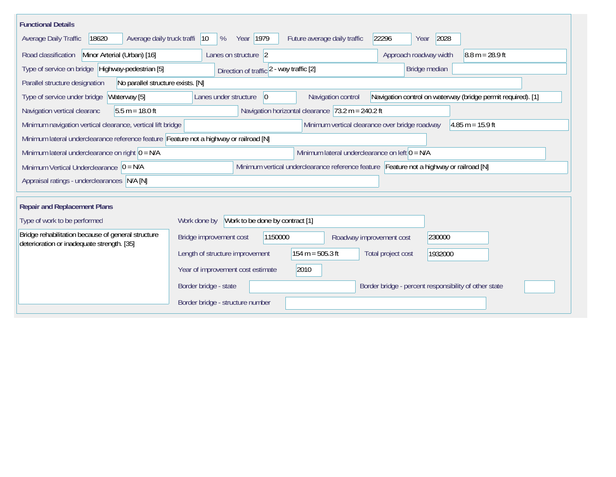| <b>Functional Details</b>                                                                        |                                                                                                                   |
|--------------------------------------------------------------------------------------------------|-------------------------------------------------------------------------------------------------------------------|
| 18620<br>Average daily truck traffi<br>Average Daily Traffic                                     | Year 1979<br>22296<br>2028<br>$ 10\rangle$<br>%<br>Future average daily traffic<br>Year                           |
| Road classification<br>Minor Arterial (Urban) [16]                                               | Lanes on structure 2<br>Approach roadway width<br>$8.8 m = 28.9 ft$                                               |
| Type of service on bridge Highway-pedestrian [5]                                                 | Bridge median<br>Direction of traffic 2 - way traffic [2]                                                         |
| Parallel structure designation<br>No parallel structure exists. [N]                              |                                                                                                                   |
| Waterway [5]<br>Type of service under bridge                                                     | Navigation control on waterway (bridge permit required). [1]<br>Lanes under structure<br>Navigation control<br>10 |
| $5.5 m = 18.0 ft$<br>Navigation vertical clearanc                                                | Navigation horizontal clearance $ 73.2 \text{ m} = 240.2 \text{ ft}$                                              |
| Minimum navigation vertical clearance, vertical lift bridge                                      | Minimum vertical clearance over bridge roadway<br>$4.85 m = 15.9 ft$                                              |
| Minimum lateral underclearance reference feature Feature not a highway or railroad [N]           |                                                                                                                   |
| Minimum lateral underclearance on right $0 = N/A$                                                | Minimum lateral underclearance on left $0 = N/A$                                                                  |
| Minimum Vertical Underclearance $ 0 = N/A$                                                       | Minimum vertical underclearance reference feature Feature not a highway or railroad [N]                           |
| Appraisal ratings - underclearances N/A [N]                                                      |                                                                                                                   |
|                                                                                                  |                                                                                                                   |
| <b>Repair and Replacement Plans</b>                                                              |                                                                                                                   |
| Type of work to be performed                                                                     | Work to be done by contract [1]<br>Work done by                                                                   |
| Bridge rehabilitation because of general structure<br>deterioration or inadequate strength. [35] | Bridge improvement cost<br>1150000<br>230000<br>Roadway improvement cost                                          |
|                                                                                                  | $154 m = 505.3 ft$<br>Length of structure improvement<br>Total project cost<br>1932000                            |
|                                                                                                  | 2010<br>Year of improvement cost estimate                                                                         |
|                                                                                                  | Border bridge - state<br>Border bridge - percent responsibility of other state                                    |
|                                                                                                  | Border bridge - structure number                                                                                  |